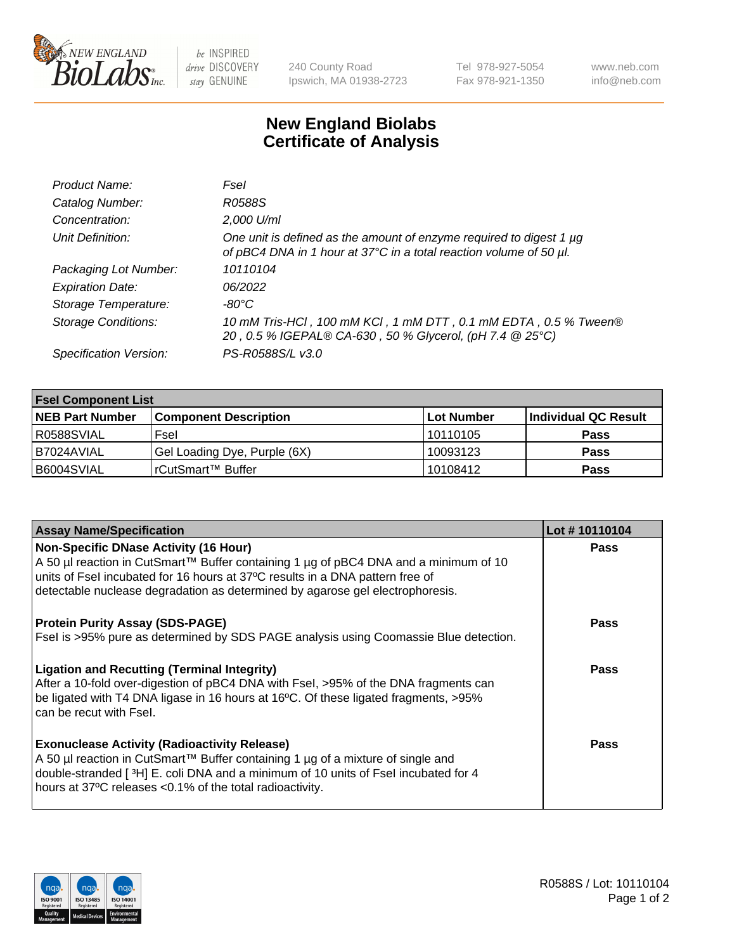

be INSPIRED drive DISCOVERY stay GENUINE

240 County Road Ipswich, MA 01938-2723 Tel 978-927-5054 Fax 978-921-1350 www.neb.com info@neb.com

## **New England Biolabs Certificate of Analysis**

| Product Name:              | Fsel                                                                                                                                      |
|----------------------------|-------------------------------------------------------------------------------------------------------------------------------------------|
| Catalog Number:            | R0588S                                                                                                                                    |
| Concentration:             | 2,000 U/ml                                                                                                                                |
| Unit Definition:           | One unit is defined as the amount of enzyme required to digest 1 µg<br>of pBC4 DNA in 1 hour at 37°C in a total reaction volume of 50 µl. |
| Packaging Lot Number:      | 10110104                                                                                                                                  |
| <b>Expiration Date:</b>    | 06/2022                                                                                                                                   |
| Storage Temperature:       | -80°C                                                                                                                                     |
| <b>Storage Conditions:</b> | 10 mM Tris-HCl, 100 mM KCl, 1 mM DTT, 0.1 mM EDTA, 0.5 % Tween®<br>20, 0.5 % IGEPAL® CA-630, 50 % Glycerol, (pH 7.4 @ 25°C)               |
| Specification Version:     | PS-R0588S/L v3.0                                                                                                                          |

| <b>Fsel Component List</b> |                              |            |                      |  |  |
|----------------------------|------------------------------|------------|----------------------|--|--|
| <b>NEB Part Number</b>     | <b>Component Description</b> | Lot Number | Individual QC Result |  |  |
| R0588SVIAL                 | Fsel                         | 10110105   | <b>Pass</b>          |  |  |
| I B7024AVIAL               | Gel Loading Dye, Purple (6X) | 10093123   | <b>Pass</b>          |  |  |
| B6004SVIAL                 | l rCutSmart™ Buffer          | 10108412   | <b>Pass</b>          |  |  |

| <b>Assay Name/Specification</b>                                                                                                                                                                                                   | Lot #10110104 |
|-----------------------------------------------------------------------------------------------------------------------------------------------------------------------------------------------------------------------------------|---------------|
| <b>Non-Specific DNase Activity (16 Hour)</b><br>A 50 µl reaction in CutSmart™ Buffer containing 1 µg of pBC4 DNA and a minimum of 10                                                                                              | <b>Pass</b>   |
| units of Fsel incubated for 16 hours at 37°C results in a DNA pattern free of<br>detectable nuclease degradation as determined by agarose gel electrophoresis.                                                                    |               |
| <b>Protein Purity Assay (SDS-PAGE)</b>                                                                                                                                                                                            | Pass          |
| Fsel is >95% pure as determined by SDS PAGE analysis using Coomassie Blue detection.                                                                                                                                              |               |
| <b>Ligation and Recutting (Terminal Integrity)</b>                                                                                                                                                                                | <b>Pass</b>   |
| After a 10-fold over-digestion of pBC4 DNA with Fsel, >95% of the DNA fragments can<br>be ligated with T4 DNA ligase in 16 hours at 16°C. Of these ligated fragments, >95%<br>can be recut with Fsel.                             |               |
| <b>Exonuclease Activity (Radioactivity Release)</b>                                                                                                                                                                               | Pass          |
| A 50 µl reaction in CutSmart™ Buffer containing 1 µg of a mixture of single and<br>double-stranded [3H] E. coli DNA and a minimum of 10 units of Fsel incubated for 4<br>hours at 37°C releases <0.1% of the total radioactivity. |               |